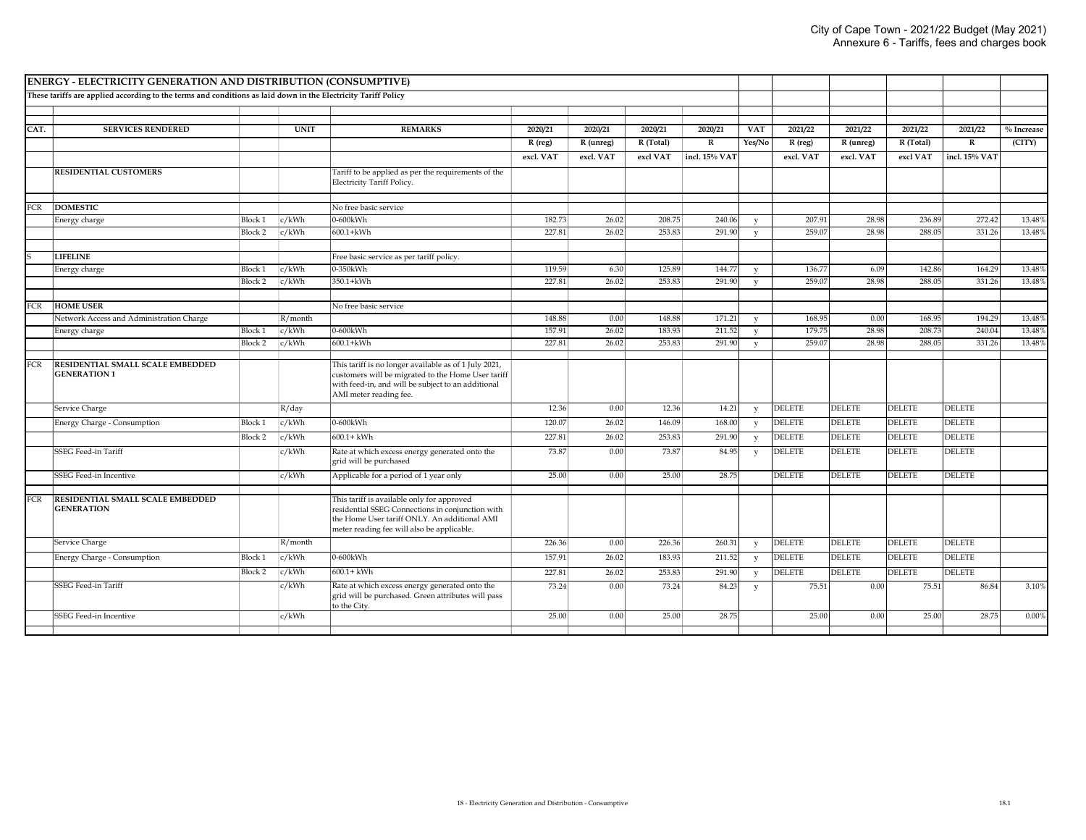|            | <b>ENERGY - ELECTRICITY GENERATION AND DISTRIBUTION (CONSUMPTIVE)</b>                                         |                |             |                                                                                                                                                                                              |           |           |           |               |              |               |               |               |               |              |
|------------|---------------------------------------------------------------------------------------------------------------|----------------|-------------|----------------------------------------------------------------------------------------------------------------------------------------------------------------------------------------------|-----------|-----------|-----------|---------------|--------------|---------------|---------------|---------------|---------------|--------------|
|            | These tariffs are applied according to the terms and conditions as laid down in the Electricity Tariff Policy |                |             |                                                                                                                                                                                              |           |           |           |               |              |               |               |               |               |              |
|            |                                                                                                               |                |             |                                                                                                                                                                                              |           |           |           |               |              |               |               |               |               |              |
|            |                                                                                                               |                |             |                                                                                                                                                                                              |           |           |           |               |              |               |               |               |               |              |
| CAT.       | <b>SERVICES RENDERED</b>                                                                                      |                | <b>UNIT</b> | <b>REMARKS</b>                                                                                                                                                                               | 2020/21   | 2020/21   | 2020/21   | 2020/21       | <b>VAT</b>   | 2021/22       | 2021/22       | 2021/22       | 2021/22       | $%$ Increase |
|            |                                                                                                               |                |             |                                                                                                                                                                                              | R (reg)   | R (unreg) | R (Total) | ${\bf R}$     | Yes/No       | R (reg)       | R (unreg)     | R (Total)     | $\, {\bf R}$  | (CITY)       |
|            |                                                                                                               |                |             |                                                                                                                                                                                              | excl. VAT | excl. VAT | excl VAT  | incl. 15% VAT |              | excl. VAT     | excl. VAT     | excl VAT      | incl. 15% VAT |              |
|            | <b>RESIDENTIAL CUSTOMERS</b>                                                                                  |                |             | Tariff to be applied as per the requirements of the<br>Electricity Tariff Policy.                                                                                                            |           |           |           |               |              |               |               |               |               |              |
| FCR        | <b>DOMESTIC</b>                                                                                               |                |             | No free basic service                                                                                                                                                                        |           |           |           |               |              |               |               |               |               |              |
|            | Energy charge                                                                                                 | <b>Block 1</b> | c/kWh       | $0-600$ kWh                                                                                                                                                                                  | 182.73    | 26.02     | 208.75    | 240.06        | $\mathbf{v}$ | 207.91        | 28.98         | 236.89        | 272.42        | 13.48%       |
|            |                                                                                                               | Block 2        | c/kWh       | $600.1 + \text{kWh}$                                                                                                                                                                         | 227.81    | 26.02     | 253.83    | 291.90        | V            | 259.07        | 28.98         | 288.05        | 331.26        | 13.48%       |
|            |                                                                                                               |                |             |                                                                                                                                                                                              |           |           |           |               |              |               |               |               |               |              |
|            | <b>LIFELINE</b>                                                                                               |                |             | Free basic service as per tariff policy                                                                                                                                                      |           |           |           |               |              |               |               |               |               |              |
|            | Energy charge                                                                                                 | <b>Block 1</b> | c/kWh       | 0-350kWh                                                                                                                                                                                     | 119.59    | 6.30      | 125.89    | 144.77        | V            | 136.77        | 6.09          | 142.86        | 164.29        | 13.48%       |
|            |                                                                                                               | Block 2        | c/kWh       | 350.1+kWh                                                                                                                                                                                    | 227.81    | 26.02     | 253.83    | 291.90        | $\mathbf{v}$ | 259.07        | 28.98         | 288.05        | 331.26        | 13.48%       |
|            |                                                                                                               |                |             |                                                                                                                                                                                              |           |           |           |               |              |               |               |               |               |              |
| FCR        | <b>HOME USER</b>                                                                                              |                |             | No free basic service                                                                                                                                                                        |           |           |           |               |              |               |               |               |               |              |
|            | Network Access and Administration Charge                                                                      |                | $R/m$ onth  |                                                                                                                                                                                              | 148.88    | 0.00      | 148.88    | 171.21        | v            | 168.95        | 0.00          | 168.95        | 194.29        | 13.48%       |
|            | Energy charge                                                                                                 | <b>Block 1</b> | c/kWh       | $0-600$ kWh                                                                                                                                                                                  | 157.91    | 26.02     | 183.93    | 211.52        | $\mathbf v$  | 179.75        | 28.98         | 208.73        | 240.04        | 13.48%       |
|            |                                                                                                               | Block 2        | c/kWh       | $600.1 +$ kWh                                                                                                                                                                                | 227.81    | 26.02     | 253.83    | 291.90        | $\mathbf{v}$ | 259.07        | 28.98         | 288.05        | 331.26        | 13.48%       |
| <b>FCR</b> | RESIDENTIAL SMALL SCALE EMBEDDED<br><b>GENERATION 1</b>                                                       |                |             | This tariff is no longer available as of 1 July 2021,<br>customers will be migrated to the Home User tariff<br>with feed-in, and will be subject to an additional<br>AMI meter reading fee.  |           |           |           |               |              |               |               |               |               |              |
|            | Service Charge                                                                                                |                | R/day       |                                                                                                                                                                                              | 12.36     | 0.00      | 12.36     | 14.21         | y            | <b>DELETE</b> | <b>DELETE</b> | <b>DELETE</b> | <b>DELETE</b> |              |
|            | Energy Charge - Consumption                                                                                   | <b>Block 1</b> | c/kWh       | $0-600$ kWh                                                                                                                                                                                  | 120.07    | 26.02     | 146.09    | 168.00        | y            | <b>DELETE</b> | <b>DELETE</b> | <b>DELETE</b> | <b>DELETE</b> |              |
|            |                                                                                                               | Block 2        | c/kWh       | $600.1 +$ kWh                                                                                                                                                                                | 227.81    | 26.02     | 253.83    | 291.90        | y            | <b>DELETE</b> | <b>DELETE</b> | <b>DELETE</b> | <b>DELETE</b> |              |
|            | <b>SSEG Feed-in Tariff</b>                                                                                    |                | c/kWh       | Rate at which excess energy generated onto the<br>grid will be purchased                                                                                                                     | 73.87     | 0.00      | 73.87     | 84.95         | y            | <b>DELETE</b> | <b>DELETE</b> | <b>DELETE</b> | <b>DELETE</b> |              |
|            | SSEG Feed-in Incentive                                                                                        |                | c/kWh       | Applicable for a period of 1 year only                                                                                                                                                       | 25.00     | 0.00      | 25.00     | 28.75         |              | <b>DELETE</b> | <b>DELETE</b> | <b>DELETE</b> | <b>DELETE</b> |              |
| <b>FCR</b> | RESIDENTIAL SMALL SCALE EMBEDDED<br><b>GENERATION</b>                                                         |                |             | This tariff is available only for approved<br>residential SSEG Connections in conjunction with<br>the Home User tariff ONLY. An additional AMI<br>meter reading fee will also be applicable. |           |           |           |               |              |               |               |               |               |              |
|            | Service Charge                                                                                                |                | R/month     |                                                                                                                                                                                              | 226.36    | 0.00      | 226.36    | 260.31        | y            | <b>DELETE</b> | <b>DELETE</b> | <b>DELETE</b> | <b>DELETE</b> |              |
|            | Energy Charge - Consumption                                                                                   | <b>Block 1</b> | c/kWh       | $0-600$ kWh                                                                                                                                                                                  | 157.91    | 26.02     | 183.93    | 211.52        | y            | <b>DELETE</b> | <b>DELETE</b> | <b>DELETE</b> | <b>DELETE</b> |              |
|            |                                                                                                               | Block 2        | c/kWh       | $600.1 +$ kWh                                                                                                                                                                                | 227.81    | 26.02     | 253.83    | 291.90        | y            | <b>DELETE</b> | <b>DELETE</b> | <b>DELETE</b> | <b>DELETE</b> |              |
|            | <b>SSEG Feed-in Tariff</b>                                                                                    |                | c/kWh       | Rate at which excess energy generated onto the<br>grid will be purchased. Green attributes will pass<br>to the City.                                                                         | 73.24     | 0.00      | 73.24     | 84.23         | y            | 75.51         | 0.00          | 75.51         | 86.84         | 3.10%        |
|            | SSEG Feed-in Incentive                                                                                        |                | c/kWh       |                                                                                                                                                                                              | 25.00     | 0.00      | 25.00     | 28.75         |              | 25.00         | 0.00          | 25.00         | 28.75         | 0.00%        |
|            |                                                                                                               |                |             |                                                                                                                                                                                              |           |           |           |               |              |               |               |               |               |              |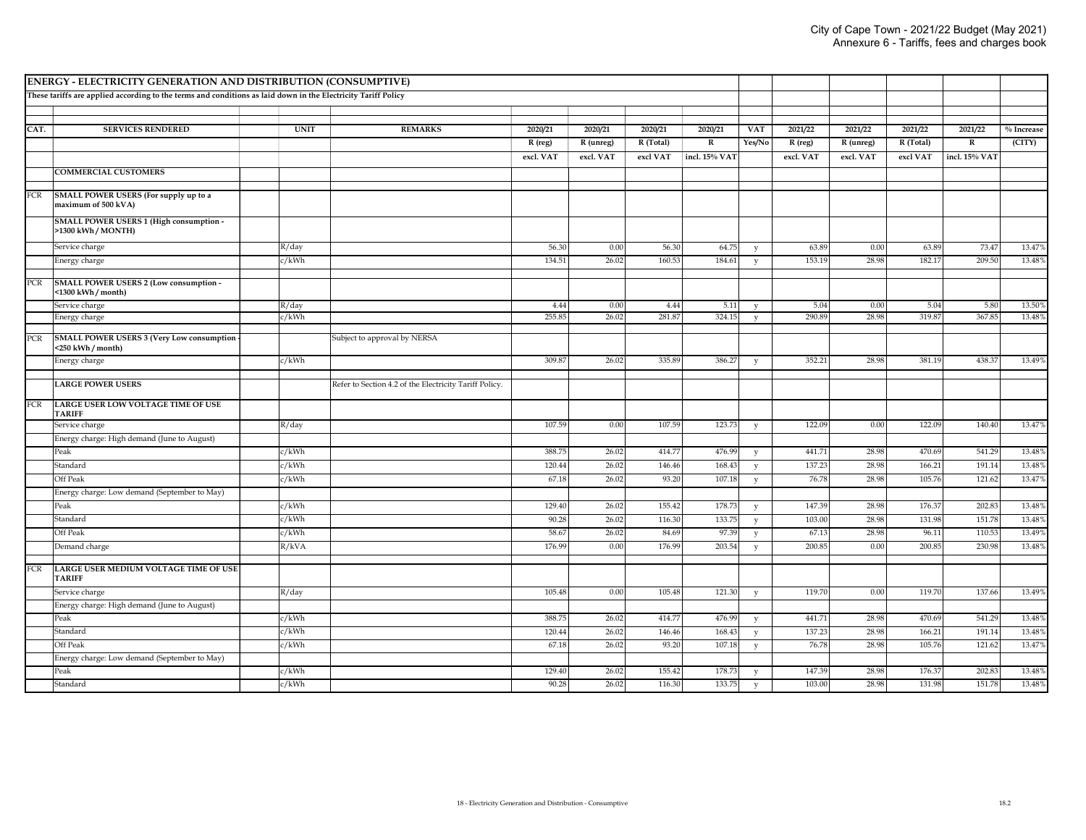| <b>ENERGY - ELECTRICITY GENERATION AND DISTRIBUTION (CONSUMPTIVE)</b> |                                                                                                               |             |                                                        |           |           |           |               |              |           |           |           |                |              |
|-----------------------------------------------------------------------|---------------------------------------------------------------------------------------------------------------|-------------|--------------------------------------------------------|-----------|-----------|-----------|---------------|--------------|-----------|-----------|-----------|----------------|--------------|
|                                                                       | These tariffs are applied according to the terms and conditions as laid down in the Electricity Tariff Policy |             |                                                        |           |           |           |               |              |           |           |           |                |              |
|                                                                       |                                                                                                               |             |                                                        |           |           |           |               |              |           |           |           |                |              |
| CAT.                                                                  | <b>SERVICES RENDERED</b>                                                                                      | <b>UNIT</b> | <b>REMARKS</b>                                         | 2020/21   | 2020/21   | 2020/21   | 2020/21       | <b>VAT</b>   | 2021/22   | 2021/22   | 2021/22   | 2021/22        | $%$ Increase |
|                                                                       |                                                                                                               |             |                                                        | R (reg)   | R (unreg) | R (Total) | ${\bf R}$     | Yes/No       | R (reg)   | R (unreg) | R (Total) | $\overline{R}$ | (CITY)       |
|                                                                       |                                                                                                               |             |                                                        | excl. VAT | excl. VAT | excl VAT  | incl. 15% VAT |              | excl. VAT | excl. VAT | excl VAT  | incl. 15% VAT  |              |
|                                                                       | <b>COMMERCIAL CUSTOMERS</b>                                                                                   |             |                                                        |           |           |           |               |              |           |           |           |                |              |
|                                                                       |                                                                                                               |             |                                                        |           |           |           |               |              |           |           |           |                |              |
| FCR                                                                   | SMALL POWER USERS (For supply up to a<br>maximum of 500 kVA)                                                  |             |                                                        |           |           |           |               |              |           |           |           |                |              |
|                                                                       | SMALL POWER USERS 1 (High consumption -<br>>1300 kWh / MONTH)                                                 |             |                                                        |           |           |           |               |              |           |           |           |                |              |
|                                                                       | Service charge                                                                                                | R/day       |                                                        | 56.30     | 0.00      | 56.30     | 64.75         | y            | 63.89     | 0.00      | 63.89     | 73.47          | 13.47%       |
|                                                                       | Energy charge                                                                                                 | c/kWh       |                                                        | 134.51    | 26.02     | 160.53    | 184.61        | y            | 153.19    | 28.98     | 182.17    | 209.50         | 13.48%       |
| PCR                                                                   | SMALL POWER USERS 2 (Low consumption -<br><1300 kWh / month)                                                  |             |                                                        |           |           |           |               |              |           |           |           |                |              |
|                                                                       | Service charge                                                                                                | R/day       |                                                        | 4.44      | 0.00      | 4.44      | 5.11          | y            | 5.04      | 0.00      | 5.04      | 5.80           | 13.509       |
|                                                                       | Energy charge                                                                                                 | c/kWh       |                                                        | 255.85    | 26.02     | 281.87    | 324.15        | $\mathbf{v}$ | 290.89    | 28.98     | 319.87    | 367.85         | 13.48%       |
| PCR                                                                   | <b>SMALL POWER USERS 3 (Very Low consumption</b><br><250 kWh / month)                                         |             | Subject to approval by NERSA                           |           |           |           |               |              |           |           |           |                |              |
|                                                                       | Energy charge                                                                                                 | c/kWh       |                                                        | 309.87    | 26.02     | 335.89    | 386.27        | y            | 352.21    | 28.98     | 381.19    | 438.37         | 13.49%       |
|                                                                       |                                                                                                               |             |                                                        |           |           |           |               |              |           |           |           |                |              |
|                                                                       | <b>LARGE POWER USERS</b>                                                                                      |             | Refer to Section 4.2 of the Electricity Tariff Policy. |           |           |           |               |              |           |           |           |                |              |
| FCR                                                                   | LARGE USER LOW VOLTAGE TIME OF USE<br><b>TARIFF</b>                                                           |             |                                                        |           |           |           |               |              |           |           |           |                |              |
|                                                                       | Service charge                                                                                                | R/day       |                                                        | 107.59    | 0.00      | 107.59    | 123.73        | y            | 122.09    | 0.00      | 122.09    | 140.40         | 13.47%       |
|                                                                       | Energy charge: High demand (June to August)                                                                   |             |                                                        |           |           |           |               |              |           |           |           |                |              |
|                                                                       | Peak                                                                                                          | c/kWh       |                                                        | 388.75    | 26.02     | 414.77    | 476.99        | y            | 441.71    | 28.98     | 470.69    | 541.29         | 13.48%       |
|                                                                       | Standard                                                                                                      | c/kWh       |                                                        | 120.44    | 26.02     | 146.46    | 168.43        | y            | 137.23    | 28.98     | 166.21    | 191.14         | 13.48%       |
|                                                                       | Off Peak                                                                                                      | c/kWh       |                                                        | 67.18     | 26.02     | 93.20     | 107.18        | $\mathbf{v}$ | 76.78     | 28.98     | 105.76    | 121.62         | 13.47%       |
|                                                                       | Energy charge: Low demand (September to May)                                                                  |             |                                                        |           |           |           |               |              |           |           |           |                |              |
|                                                                       | Peak                                                                                                          | c/kWh       |                                                        | 129.40    | 26.02     | 155.42    | 178.73        | y            | 147.39    | 28.98     | 176.37    | 202.83         | 13.48%       |
|                                                                       | Standard                                                                                                      | c/kWh       |                                                        | 90.28     | 26.02     | 116.30    | 133.75        | y            | 103.00    | 28.98     | 131.98    | 151.78         | 13.48%       |
|                                                                       | Off Peak                                                                                                      | c/kWh       |                                                        | 58.67     | 26.02     | 84.69     | 97.39         | $\mathbf{v}$ | 67.13     | 28.98     | 96.11     | 110.53         | 13.49%       |
|                                                                       | Demand charge                                                                                                 | R/kVA       |                                                        | 176.99    | 0.00      | 176.99    | 203.54        | y            | 200.85    | 0.00      | 200.85    | 230.98         | 13.48%       |
| FCR                                                                   | LARGE USER MEDIUM VOLTAGE TIME OF USE<br><b>TARIFF</b>                                                        |             |                                                        |           |           |           |               |              |           |           |           |                |              |
|                                                                       | Service charge                                                                                                | R/day       |                                                        | 105.48    | 0.00      | 105.48    | 121.30        | y            | 119.70    | 0.00      | 119.70    | 137.66         | 13.49%       |
|                                                                       | Energy charge: High demand (June to August)                                                                   |             |                                                        |           |           |           |               |              |           |           |           |                |              |
|                                                                       | Peak                                                                                                          | c/kWh       |                                                        | 388.75    | 26.02     | 414.77    | 476.99        | y            | 441.71    | 28.98     | 470.69    | 541.29         | 13.48%       |
|                                                                       | Standard                                                                                                      | c/kWh       |                                                        | 120.44    | 26.02     | 146.46    | 168.43        | y            | 137.23    | 28.98     | 166.21    | 191.14         | 13.48%       |
|                                                                       | Off Peak                                                                                                      | c/kWh       |                                                        | 67.18     | 26.02     | 93.20     | 107.18        | y            | 76.78     | 28.98     | 105.76    | 121.62         | 13.47%       |
|                                                                       | Energy charge: Low demand (September to May)                                                                  |             |                                                        |           |           |           |               |              |           |           |           |                |              |
|                                                                       | Peak                                                                                                          | c/kWh       |                                                        | 129.40    | 26.02     | 155.42    | 178.73        | $\mathbf v$  | 147.39    | 28.98     | 176.37    | 202.83         | 13.48%       |
|                                                                       | Standard                                                                                                      | c/kWh       |                                                        | 90.28     | 26.02     | 116.30    | 133.75        | $\mathbf v$  | 103.00    | 28.98     | 131.98    | 151.78         | 13.48%       |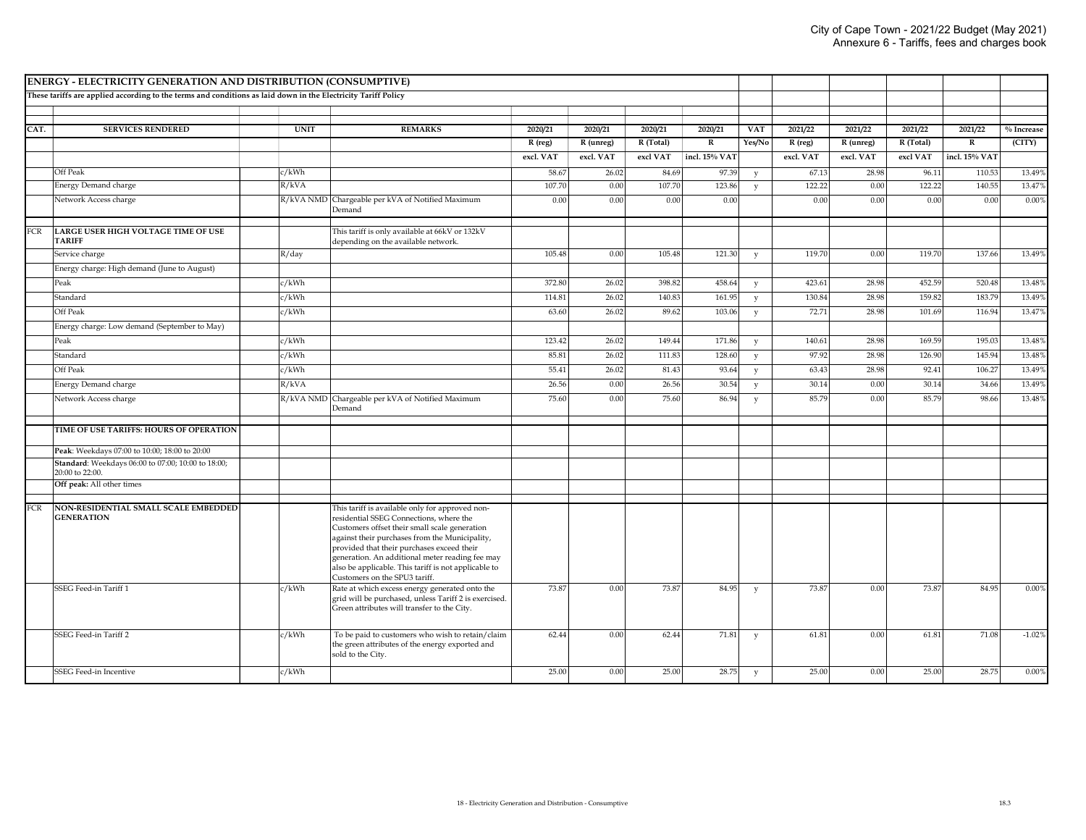|            | <b>ENERGY - ELECTRICITY GENERATION AND DISTRIBUTION (CONSUMPTIVE)</b>                                         |             |                                                                                                                                                                                                                                                                                                                                                                                         |           |           |           |               |            |           |           |           |               |              |
|------------|---------------------------------------------------------------------------------------------------------------|-------------|-----------------------------------------------------------------------------------------------------------------------------------------------------------------------------------------------------------------------------------------------------------------------------------------------------------------------------------------------------------------------------------------|-----------|-----------|-----------|---------------|------------|-----------|-----------|-----------|---------------|--------------|
|            | These tariffs are applied according to the terms and conditions as laid down in the Electricity Tariff Policy |             |                                                                                                                                                                                                                                                                                                                                                                                         |           |           |           |               |            |           |           |           |               |              |
|            |                                                                                                               |             |                                                                                                                                                                                                                                                                                                                                                                                         |           |           |           |               |            |           |           |           |               |              |
| CAT.       | <b>SERVICES RENDERED</b>                                                                                      | <b>UNIT</b> | <b>REMARKS</b>                                                                                                                                                                                                                                                                                                                                                                          | 2020/21   | 2020/21   | 2020/21   | 2020/21       | <b>VAT</b> | 2021/22   | 2021/22   | 2021/22   | 2021/22       | $%$ Increase |
|            |                                                                                                               |             |                                                                                                                                                                                                                                                                                                                                                                                         | R (reg)   | R (unreg) | R (Total) | $\mathbf R$   | Yes/No     | R (reg)   | R (unreg) | R (Total) | $\mathbb{R}$  | (CITY)       |
|            |                                                                                                               |             |                                                                                                                                                                                                                                                                                                                                                                                         | excl. VAT | excl. VAT | excl VAT  | incl. 15% VAT |            | excl. VAT | excl. VAT | excl VAT  | incl. 15% VAT |              |
|            | Off Peak                                                                                                      | c/kWh       |                                                                                                                                                                                                                                                                                                                                                                                         | 58.67     | 26.02     | 84.69     | 97.39         | V          | 67.13     | 28.98     | 96.11     | 110.53        | 13.49%       |
|            | Energy Demand charge                                                                                          | R/kVA       |                                                                                                                                                                                                                                                                                                                                                                                         | 107.70    | 0.00      | 107.70    | 123.86        | y          | 122.22    | 0.00      | 122.22    | 140.55        | 13.47%       |
|            | Network Access charge                                                                                         |             | R/kVA NMD Chargeable per kVA of Notified Maximum<br>Demand                                                                                                                                                                                                                                                                                                                              | 0.00      | 0.00      | 0.00      | 0.00          |            | 0.00      | 0.00      | 0.00      | 0.00          | 0.00%        |
| <b>FCR</b> | LARGE USER HIGH VOLTAGE TIME OF USE<br><b>TARIFF</b>                                                          |             | This tariff is only available at 66kV or 132kV<br>depending on the available network.                                                                                                                                                                                                                                                                                                   |           |           |           |               |            |           |           |           |               |              |
|            | Service charge                                                                                                | R/day       |                                                                                                                                                                                                                                                                                                                                                                                         | 105.48    | 0.00      | 105.48    | 121.30        | y          | 119.70    | 0.00      | 119.70    | 137.66        | 13.49%       |
|            | Energy charge: High demand (June to August)                                                                   |             |                                                                                                                                                                                                                                                                                                                                                                                         |           |           |           |               |            |           |           |           |               |              |
|            | Peak                                                                                                          | c/kWh       |                                                                                                                                                                                                                                                                                                                                                                                         | 372.80    | 26.02     | 398.82    | 458.64        | y          | 423.61    | 28.98     | 452.59    | 520.48        | 13.48%       |
|            | Standard                                                                                                      | c/kWh       |                                                                                                                                                                                                                                                                                                                                                                                         | 114.81    | 26.02     | 140.83    | 161.95        | y          | 130.84    | 28.98     | 159.82    | 183.79        | 13.49%       |
|            | Off Peak                                                                                                      | c/kWh       |                                                                                                                                                                                                                                                                                                                                                                                         | 63.60     | 26.02     | 89.62     | 103.06        | y          | 72.71     | 28.98     | 101.69    | 116.94        | 13.47%       |
|            | Energy charge: Low demand (September to May)                                                                  |             |                                                                                                                                                                                                                                                                                                                                                                                         |           |           |           |               |            |           |           |           |               |              |
|            | Peak                                                                                                          | c/kWh       |                                                                                                                                                                                                                                                                                                                                                                                         | 123.42    | 26.02     | 149.44    | 171.86        | v          | 140.61    | 28.98     | 169.59    | 195.03        | 13.48%       |
|            | Standard                                                                                                      | c/kWh       |                                                                                                                                                                                                                                                                                                                                                                                         | 85.81     | 26.02     | 111.83    | 128.60        | y          | 97.92     | 28.98     | 126.90    | 145.94        | 13.48%       |
|            | Off Peak                                                                                                      | c/kWh       |                                                                                                                                                                                                                                                                                                                                                                                         | 55.41     | 26.02     | 81.43     | 93.64         | y          | 63.43     | 28.98     | 92.41     | 106.27        | 13.49%       |
|            | Energy Demand charge                                                                                          | R/kVA       |                                                                                                                                                                                                                                                                                                                                                                                         | 26.56     | 0.00      | 26.56     | 30.54         | y          | 30.14     | 0.00      | 30.14     | 34.66         | 13.49%       |
|            | Network Access charge                                                                                         | R/kVA NMD   | Chargeable per kVA of Notified Maximum<br>Demand                                                                                                                                                                                                                                                                                                                                        | 75.60     | 0.00      | 75.60     | 86.94         | y          | 85.79     | 0.00      | 85.79     | 98.66         | 13.48%       |
|            | TIME OF USE TARIFFS: HOURS OF OPERATION                                                                       |             |                                                                                                                                                                                                                                                                                                                                                                                         |           |           |           |               |            |           |           |           |               |              |
|            | Peak: Weekdays 07:00 to 10:00; 18:00 to 20:00                                                                 |             |                                                                                                                                                                                                                                                                                                                                                                                         |           |           |           |               |            |           |           |           |               |              |
|            | Standard: Weekdays 06:00 to 07:00; 10:00 to 18:00;<br>20:00 to 22:00.                                         |             |                                                                                                                                                                                                                                                                                                                                                                                         |           |           |           |               |            |           |           |           |               |              |
|            | Off peak: All other times                                                                                     |             |                                                                                                                                                                                                                                                                                                                                                                                         |           |           |           |               |            |           |           |           |               |              |
| <b>FCR</b> | NON-RESIDENTIAL SMALL SCALE EMBEDDED<br><b>GENERATION</b>                                                     |             | This tariff is available only for approved non-<br>residential SSEG Connections, where the<br>Customers offset their small scale generation<br>against their purchases from the Municipality,<br>provided that their purchases exceed their<br>generation. An additional meter reading fee may<br>also be applicable. This tariff is not applicable to<br>Customers on the SPU3 tariff. |           |           |           |               |            |           |           |           |               |              |
|            | SSEG Feed-in Tariff 1                                                                                         | c/kWh       | Rate at which excess energy generated onto the<br>grid will be purchased, unless Tariff 2 is exercised.<br>Green attributes will transfer to the City.                                                                                                                                                                                                                                  | 73.87     | 0.00      | 73.87     | 84.95         | y          | 73.87     | 0.00      | 73.87     | 84.95         | 0.00%        |
|            | SSEG Feed-in Tariff 2                                                                                         | c/kWh       | To be paid to customers who wish to retain/claim<br>the green attributes of the energy exported and<br>sold to the City.                                                                                                                                                                                                                                                                | 62.44     | 0.00      | 62.44     | 71.81         | y          | 61.81     | 0.00      | 61.81     | 71.08         | $-1.02%$     |
|            | SSEG Feed-in Incentive                                                                                        | c/kWh       |                                                                                                                                                                                                                                                                                                                                                                                         | 25.00     | 0.00      | 25.00     | 28.75         | y          | 25.00     | 0.00      | 25.00     | 28.75         | 0.00%        |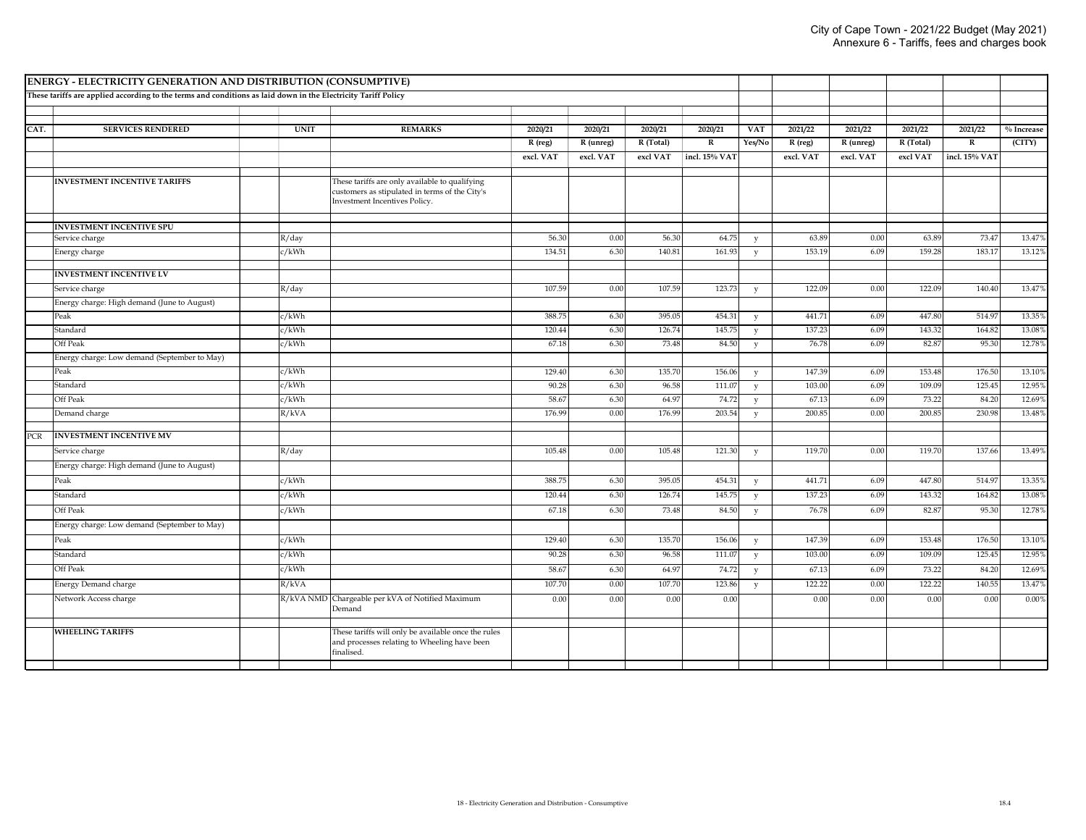|            | ENERGY - ELECTRICITY GENERATION AND DISTRIBUTION (CONSUMPTIVE)                                                |             |                                                                                                                                   |           |           |           |               |             |           |           |           |               |              |
|------------|---------------------------------------------------------------------------------------------------------------|-------------|-----------------------------------------------------------------------------------------------------------------------------------|-----------|-----------|-----------|---------------|-------------|-----------|-----------|-----------|---------------|--------------|
|            | These tariffs are applied according to the terms and conditions as laid down in the Electricity Tariff Policy |             |                                                                                                                                   |           |           |           |               |             |           |           |           |               |              |
|            |                                                                                                               |             |                                                                                                                                   |           |           |           |               |             |           |           |           |               |              |
| CAT.       | <b>SERVICES RENDERED</b>                                                                                      | <b>UNIT</b> | <b>REMARKS</b>                                                                                                                    | 2020/21   | 2020/21   | 2020/21   | 2020/21       | <b>VAT</b>  | 2021/22   | 2021/22   | 2021/22   | 2021/22       | $%$ Increase |
|            |                                                                                                               |             |                                                                                                                                   | R (reg)   | R (unreg) | R (Total) | ${\bf R}$     | Yes/No      | R (reg)   | R (unreg) | R (Total) | $\mathbf R$   | (CITY)       |
|            |                                                                                                               |             |                                                                                                                                   | excl. VAT | excl. VAT | excl VAT  | incl. 15% VAT |             | excl. VAT | excl. VAT | excl VAT  | incl. 15% VAT |              |
|            |                                                                                                               |             |                                                                                                                                   |           |           |           |               |             |           |           |           |               |              |
|            | <b>INVESTMENT INCENTIVE TARIFFS</b>                                                                           |             | These tariffs are only available to qualifying<br>customers as stipulated in terms of the City's<br>Investment Incentives Policy. |           |           |           |               |             |           |           |           |               |              |
|            | <b>INVESTMENT INCENTIVE SPU</b>                                                                               |             |                                                                                                                                   |           |           |           |               |             |           |           |           |               |              |
|            | Service charge                                                                                                | R/day       |                                                                                                                                   | 56.30     | 0.00      | 56.30     | 64.75         | y           | 63.89     | 0.00      | 63.89     | 73.47         | 13.47%       |
|            | Energy charge                                                                                                 | c/kWh       |                                                                                                                                   | 134.51    | 6.30      | 140.81    | 161.93        | $\mathbf v$ | 153.19    | 6.09      | 159.28    | 183.17        | 13.12%       |
|            | <b>INVESTMENT INCENTIVE LV</b>                                                                                |             |                                                                                                                                   |           |           |           |               |             |           |           |           |               |              |
|            | Service charge                                                                                                | R/day       |                                                                                                                                   | 107.59    | 0.00      | 107.59    | 123.73        | y           | 122.09    | 0.00      | 122.09    | 140.40        | 13.47%       |
|            | Energy charge: High demand (June to August)                                                                   |             |                                                                                                                                   |           |           |           |               |             |           |           |           |               |              |
|            | Peak                                                                                                          | c/kWh       |                                                                                                                                   | 388.75    | 6.30      | 395.05    | 454.31        | y           | 441.71    | 6.09      | 447.80    | 514.97        | 13.35%       |
|            | Standard                                                                                                      | c/kWh       |                                                                                                                                   | 120.44    | 6.30      | 126.74    | 145.75        | y           | 137.23    | 6.09      | 143.32    | 164.82        | 13.08%       |
|            | Off Peak                                                                                                      | c/kWh       |                                                                                                                                   | 67.18     | 6.30      | 73.48     | 84.50         | y           | 76.78     | 6.09      | 82.87     | 95.30         | 12.78%       |
|            | Energy charge: Low demand (September to May)                                                                  |             |                                                                                                                                   |           |           |           |               |             |           |           |           |               |              |
|            | Peak                                                                                                          | c/kWh       |                                                                                                                                   | 129.40    | 6.30      | 135.70    | 156.06        | V           | 147.39    | 6.09      | 153.48    | 176.50        | 13.10%       |
|            | Standard                                                                                                      | c/kWh       |                                                                                                                                   | 90.28     | 6.30      | 96.58     | 111.07        | y           | 103.00    | 6.09      | 109.09    | 125.45        | 12.95%       |
|            | Off Peak                                                                                                      | c/kWh       |                                                                                                                                   | 58.67     | 6.30      | 64.97     | 74.72         | y           | 67.13     | 6.09      | 73.22     | 84.20         | 12.69%       |
|            | Demand charge                                                                                                 | R/kVA       |                                                                                                                                   | 176.99    | 0.00      | 176.99    | 203.54        | y           | 200.85    | 0.00      | 200.85    | 230.98        | 13.48%       |
| <b>PCR</b> | <b>INVESTMENT INCENTIVE MV</b>                                                                                |             |                                                                                                                                   |           |           |           |               |             |           |           |           |               |              |
|            | Service charge                                                                                                | R/day       |                                                                                                                                   | 105.48    | 0.00      | 105.48    | 121.30        | V           | 119.70    | 0.00      | 119.70    | 137.66        | 13.49%       |
|            | Energy charge: High demand (June to August)                                                                   |             |                                                                                                                                   |           |           |           |               |             |           |           |           |               |              |
|            |                                                                                                               |             |                                                                                                                                   |           |           |           |               |             |           |           |           |               |              |
|            | Peak                                                                                                          | c/kWh       |                                                                                                                                   | 388.75    | 6.30      | 395.05    | 454.31        | $\mathbf v$ | 441.71    | 6.09      | 447.80    | 514.97        | 13.35%       |
|            | Standard                                                                                                      | c/kWh       |                                                                                                                                   | 120.44    | 6.30      | 126.74    | 145.75        | y           | 137.23    | 6.09      | 143.32    | 164.82        | 13.08%       |
|            | Off Peak                                                                                                      | c/kWh       |                                                                                                                                   | 67.18     | 6.30      | 73.48     | 84.50         | y           | 76.78     | 6.09      | 82.87     | 95.30         | 12.78%       |
|            | Energy charge: Low demand (September to May)                                                                  |             |                                                                                                                                   |           |           |           |               |             |           |           |           |               |              |
|            | Peak                                                                                                          | c/kWh       |                                                                                                                                   | 129.40    | 6.30      | 135.70    | 156.06        | y           | 147.39    | 6.09      | 153.48    | 176.50        | 13.10%       |
|            | Standard                                                                                                      | c/kWh       |                                                                                                                                   | 90.28     | 6.30      | 96.58     | 111.07        | y           | 103.00    | 6.09      | 109.09    | 125.45        | 12.95%       |
|            | Off Peak                                                                                                      | c/kWh       |                                                                                                                                   | 58.67     | 6.30      | 64.97     | 74.72         | y           | 67.13     | 6.09      | 73.22     | 84.20         | 12.69%       |
|            | Energy Demand charge                                                                                          | R/kVA       |                                                                                                                                   | 107.70    | 0.00      | 107.70    | 123.86        | y           | 122.22    | 0.00      | 122.22    | 140.55        | 13.47%       |
|            | Network Access charge                                                                                         | R/kVA NMD   | Chargeable per kVA of Notified Maximum<br>Demand                                                                                  | 0.00      | 0.00      | 0.00      | 0.00          |             | 0.00      | 0.00      | 0.00      | 0.00          | 0.00%        |
|            | <b>WHEELING TARIFFS</b>                                                                                       |             | These tariffs will only be available once the rules<br>and processes relating to Wheeling have been<br>finalised.                 |           |           |           |               |             |           |           |           |               |              |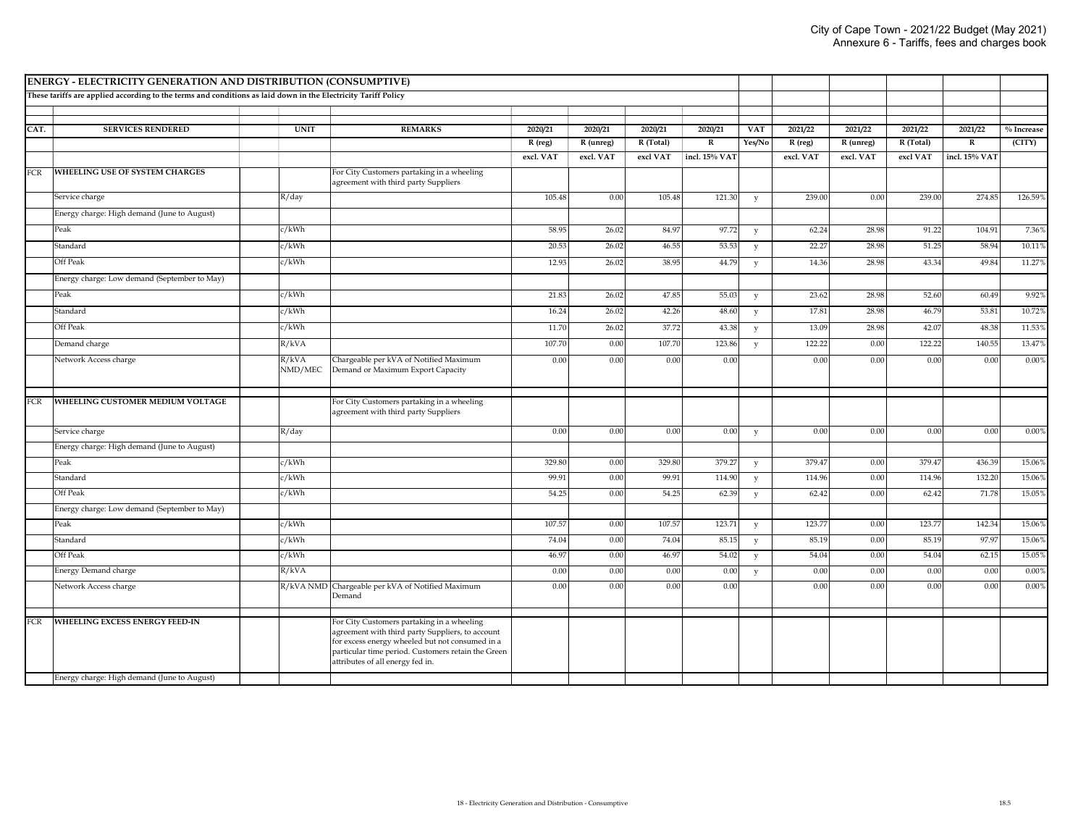|            | ENERGY - ELECTRICITY GENERATION AND DISTRIBUTION (CONSUMPTIVE)                                                |                  |                                                                                                                                                                                                                                             |           |           |           |               |              |           |           |           |                         |              |
|------------|---------------------------------------------------------------------------------------------------------------|------------------|---------------------------------------------------------------------------------------------------------------------------------------------------------------------------------------------------------------------------------------------|-----------|-----------|-----------|---------------|--------------|-----------|-----------|-----------|-------------------------|--------------|
|            | These tariffs are applied according to the terms and conditions as laid down in the Electricity Tariff Policy |                  |                                                                                                                                                                                                                                             |           |           |           |               |              |           |           |           |                         |              |
|            |                                                                                                               |                  |                                                                                                                                                                                                                                             |           |           |           |               |              |           |           |           |                         |              |
| CAT.       | <b>SERVICES RENDERED</b>                                                                                      | <b>UNIT</b>      | <b>REMARKS</b>                                                                                                                                                                                                                              | 2020/21   | 2020/21   | 2020/21   | 2020/21       | <b>VAT</b>   | 2021/22   | 2021/22   | 2021/22   | 2021/22                 | $%$ Increase |
|            |                                                                                                               |                  |                                                                                                                                                                                                                                             | $R$ (reg) | R (unreg) | R (Total) | ${\bf R}$     | Yes/No       | R (reg)   | R (unreg) | R (Total) | $\overline{\mathbf{R}}$ | (CITY)       |
|            |                                                                                                               |                  |                                                                                                                                                                                                                                             | excl. VAT | excl. VAT | excl VAT  | incl. 15% VA1 |              | excl. VAT | excl. VAT | excl VAT  | incl. 15% VAT           |              |
| <b>FCR</b> | <b>WHEELING USE OF SYSTEM CHARGES</b>                                                                         |                  | For City Customers partaking in a wheeling<br>agreement with third party Suppliers                                                                                                                                                          |           |           |           |               |              |           |           |           |                         |              |
|            | Service charge                                                                                                | R/day            |                                                                                                                                                                                                                                             | 105.48    | 0.00      | 105.48    | 121.30        | y            | 239.00    | 0.00      | 239.00    | 274.85                  | 126.59%      |
|            | Energy charge: High demand (June to August)                                                                   |                  |                                                                                                                                                                                                                                             |           |           |           |               |              |           |           |           |                         |              |
|            | Peak                                                                                                          | c/kWh            |                                                                                                                                                                                                                                             | 58.95     | 26.02     | 84.97     | 97.72         | y            | 62.24     | 28.98     | 91.22     | 104.91                  | 7.36%        |
|            | Standard                                                                                                      | c/kWh            |                                                                                                                                                                                                                                             | 20.53     | 26.02     | 46.55     | 53.53         | $\mathbf{v}$ | 22.27     | 28.98     | 51.25     | 58.94                   | 10.11%       |
|            | Off Peak                                                                                                      | c/kWh            |                                                                                                                                                                                                                                             | 12.93     | 26.02     | 38.95     | 44.79         | V            | 14.36     | 28.98     | 43.34     | 49.84                   | 11.27%       |
|            | Energy charge: Low demand (September to May)                                                                  |                  |                                                                                                                                                                                                                                             |           |           |           |               |              |           |           |           |                         |              |
|            | Peak                                                                                                          | c/kWh            |                                                                                                                                                                                                                                             | 21.83     | 26.02     | 47.85     | 55.03         | y            | 23.62     | 28.98     | 52.60     | 60.49                   | 9.92%        |
|            | Standard                                                                                                      | c/kWh            |                                                                                                                                                                                                                                             | 16.24     | 26.02     | 42.26     | 48.60         | $\mathbf{v}$ | 17.81     | 28.98     | 46.79     | 53.81                   | 10.72%       |
|            | Off Peak                                                                                                      | z/kWh            |                                                                                                                                                                                                                                             | 11.70     | 26.02     | 37.72     | 43.38         | $\mathbf v$  | 13.09     | 28.98     | 42.07     | 48.38                   | 11.53%       |
|            | Demand charge                                                                                                 | R/kVA            |                                                                                                                                                                                                                                             | 107.70    | 0.00      | 107.70    | 123.86        | $\mathbf{v}$ | 122.22    | 0.00      | 122.22    | 140.55                  | 13.47%       |
|            | Network Access charge                                                                                         | R/kVA<br>NMD/MEC | Chargeable per kVA of Notified Maximum<br>Demand or Maximum Export Capacity                                                                                                                                                                 | 0.00      | 0.00      | 0.00      | 0.00          |              | 0.00      | 0.00      | 0.00      | 0.00                    | 0.00%        |
| <b>FCR</b> | WHEELING CUSTOMER MEDIUM VOLTAGE                                                                              |                  | For City Customers partaking in a wheeling<br>agreement with third party Suppliers                                                                                                                                                          |           |           |           |               |              |           |           |           |                         |              |
|            | Service charge                                                                                                | R/day            |                                                                                                                                                                                                                                             | 0.00      | 0.00      | 0.00      | 0.00          | y            | 0.00      | 0.00      | 0.00      | 0.00                    | 0.00%        |
|            | Energy charge: High demand (June to August)                                                                   |                  |                                                                                                                                                                                                                                             |           |           |           |               |              |           |           |           |                         |              |
|            | Peak                                                                                                          | z/kWh            |                                                                                                                                                                                                                                             | 329.80    | 0.00      | 329.80    | 379.27        | $\mathbf{v}$ | 379.47    | 0.00      | 379.47    | 436.39                  | 15.06%       |
|            | Standard                                                                                                      | c/kWh            |                                                                                                                                                                                                                                             | 99.91     | 0.00      | 99.91     | 114.90        | y            | 114.96    | 0.00      | 114.96    | 132.20                  | 15.06%       |
|            | Off Peak                                                                                                      | c/kWh            |                                                                                                                                                                                                                                             | 54.25     | 0.00      | 54.25     | 62.39         | y            | 62.42     | 0.00      | 62.42     | 71.78                   | 15.05%       |
|            | Energy charge: Low demand (September to May)                                                                  |                  |                                                                                                                                                                                                                                             |           |           |           |               |              |           |           |           |                         |              |
|            | Peak                                                                                                          | c/kWh            |                                                                                                                                                                                                                                             | 107.57    | 0.00      | 107.57    | 123.71        | y            | 123.77    | 0.00      | 123.77    | 142.34                  | 15.06%       |
|            | Standard                                                                                                      | c/kWh            |                                                                                                                                                                                                                                             | 74.04     | 0.00      | 74.04     | 85.15         | y            | 85.19     | 0.00      | 85.19     | 97.97                   | 15.06%       |
|            | Off Peak                                                                                                      | c/kWh            |                                                                                                                                                                                                                                             | 46.97     | 0.00      | 46.97     | 54.02         | y            | 54.04     | 0.00      | 54.04     | 62.15                   | 15.05%       |
|            | Energy Demand charge                                                                                          | R/kVA            |                                                                                                                                                                                                                                             | 0.00      | 0.00      | 0.00      | 0.00          | y            | 0.00      | 0.00      | 0.00      | 0.00                    | 0.00%        |
|            | Network Access charge                                                                                         | R/kVA NMD        | Chargeable per kVA of Notified Maximum<br>Demand                                                                                                                                                                                            | 0.00      | 0.00      | 0.00      | 0.00          |              | 0.00      | 0.00      | 0.00      | 0.00                    | 0.00%        |
| <b>FCR</b> | WHEELING EXCESS ENERGY FEED-IN<br>Energy charge: High demand (June to August)                                 |                  | For City Customers partaking in a wheeling<br>agreement with third party Suppliers, to account<br>for excess energy wheeled but not consumed in a<br>particular time period. Customers retain the Green<br>attributes of all energy fed in. |           |           |           |               |              |           |           |           |                         |              |
|            |                                                                                                               |                  |                                                                                                                                                                                                                                             |           |           |           |               |              |           |           |           |                         |              |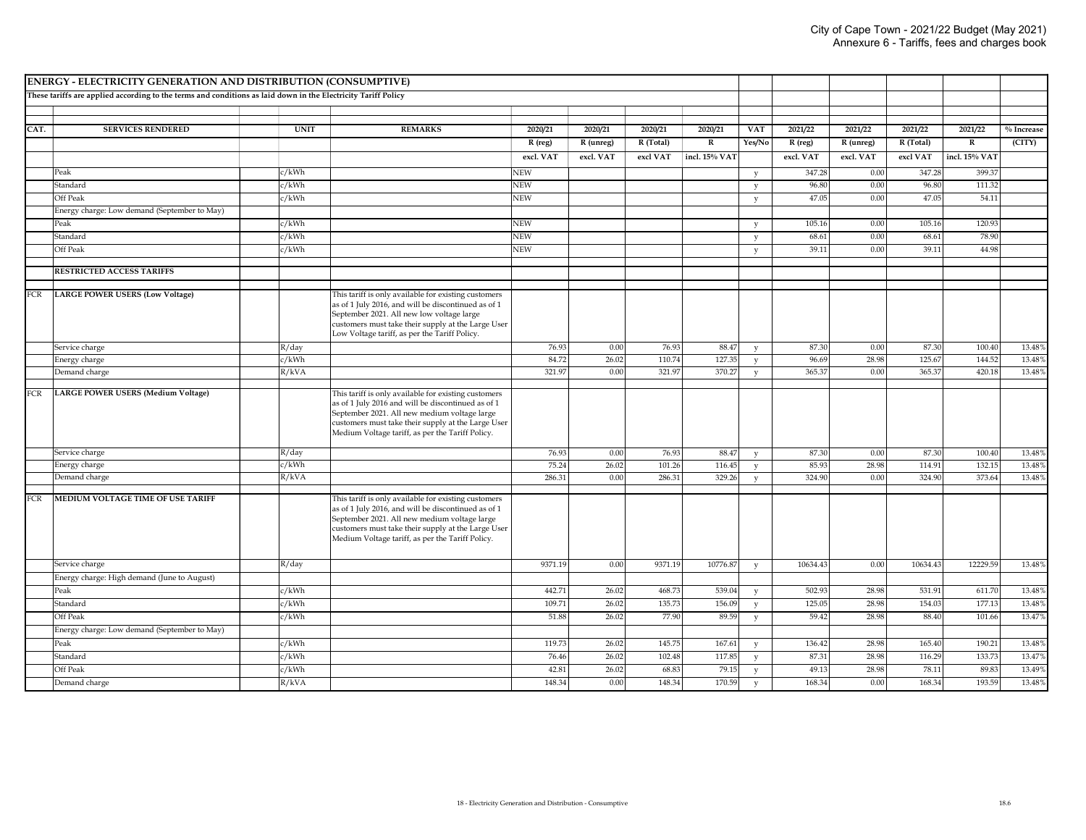|            | <b>ENERGY - ELECTRICITY GENERATION AND DISTRIBUTION (CONSUMPTIVE)</b>                                         |             |                                                                                                     |            |           |           |               |              |           |           |           |               |              |
|------------|---------------------------------------------------------------------------------------------------------------|-------------|-----------------------------------------------------------------------------------------------------|------------|-----------|-----------|---------------|--------------|-----------|-----------|-----------|---------------|--------------|
|            | These tariffs are applied according to the terms and conditions as laid down in the Electricity Tariff Policy |             |                                                                                                     |            |           |           |               |              |           |           |           |               |              |
|            |                                                                                                               |             |                                                                                                     |            |           |           |               |              |           |           |           |               |              |
|            |                                                                                                               |             |                                                                                                     |            |           |           |               |              |           |           |           |               |              |
| CAT.       | <b>SERVICES RENDERED</b>                                                                                      | <b>UNIT</b> | <b>REMARKS</b>                                                                                      | 2020/21    | 2020/21   | 2020/21   | 2020/21       | <b>VAT</b>   | 2021/22   | 2021/22   | 2021/22   | 2021/22       | $%$ Increase |
|            |                                                                                                               |             |                                                                                                     | R (reg)    | R (unreg) | R (Total) | $\mathbf R$   | Yes/No       | R (reg)   | R (unreg) | R (Total) | $\mathbf R$   | (CITY)       |
|            |                                                                                                               |             |                                                                                                     | excl. VAT  | excl. VAT | excl VAT  | incl. 15% VA1 |              | excl. VAT | excl. VAT | excl VAT  | incl. 15% VAT |              |
|            | Peak                                                                                                          | c/kWh       |                                                                                                     | NEW        |           |           |               | y            | 347.28    | 0.00      | 347.28    | 399.3         |              |
|            | Standard                                                                                                      | c/kWh       |                                                                                                     | <b>NEW</b> |           |           |               | V            | 96.80     | 0.00      | 96.80     | 111.32        |              |
|            | Off Peak                                                                                                      | c/kWh       |                                                                                                     | <b>NEW</b> |           |           |               | v            | 47.05     | 0.00      | 47.05     | 54.11         |              |
|            | Energy charge: Low demand (September to May)                                                                  |             |                                                                                                     |            |           |           |               |              |           |           |           |               |              |
|            | Peak                                                                                                          | c/kWh       |                                                                                                     | <b>NEW</b> |           |           |               | y            | 105.16    | 0.00      | 105.16    | 120.93        |              |
|            | Standard                                                                                                      | c/kWh       |                                                                                                     | <b>NEW</b> |           |           |               | V            | 68.61     | 0.00      | 68.61     | 78.90         |              |
|            | Off Peak                                                                                                      | c/kWh       |                                                                                                     | <b>NEW</b> |           |           |               | v            | 39.11     | 0.00      | 39.11     | 44.98         |              |
|            | <b>RESTRICTED ACCESS TARIFFS</b>                                                                              |             |                                                                                                     |            |           |           |               |              |           |           |           |               |              |
|            |                                                                                                               |             |                                                                                                     |            |           |           |               |              |           |           |           |               |              |
| FCR        | LARGE POWER USERS (Low Voltage)                                                                               |             | This tariff is only available for existing customers                                                |            |           |           |               |              |           |           |           |               |              |
|            |                                                                                                               |             | as of 1 July 2016, and will be discontinued as of 1                                                 |            |           |           |               |              |           |           |           |               |              |
|            |                                                                                                               |             | September 2021. All new low voltage large                                                           |            |           |           |               |              |           |           |           |               |              |
|            |                                                                                                               |             | customers must take their supply at the Large User<br>Low Voltage tariff, as per the Tariff Policy. |            |           |           |               |              |           |           |           |               |              |
|            | Service charge                                                                                                | R/day       |                                                                                                     | 76.93      | 0.00      | 76.93     | 88.47         | $\mathbf{v}$ | 87.30     | 0.00      | 87.30     | 100.40        | 13.48%       |
|            | Energy charge                                                                                                 | c/kWh       |                                                                                                     | 84.72      | 26.02     | 110.74    | 127.35        | y            | 96.69     | 28.98     | 125.67    | 144.52        | 13.48%       |
|            | Demand charge                                                                                                 | R/kVA       |                                                                                                     | 321.97     | 0.00      | 321.97    | 370.27        | V            | 365.37    | 0.00      | 365.37    | 420.18        | 13.48%       |
|            |                                                                                                               |             |                                                                                                     |            |           |           |               |              |           |           |           |               |              |
| <b>FCR</b> | <b>LARGE POWER USERS (Medium Voltage)</b>                                                                     |             | This tariff is only available for existing customers                                                |            |           |           |               |              |           |           |           |               |              |
|            |                                                                                                               |             | as of 1 July 2016 and will be discontinued as of 1<br>September 2021. All new medium voltage large  |            |           |           |               |              |           |           |           |               |              |
|            |                                                                                                               |             | customers must take their supply at the Large User                                                  |            |           |           |               |              |           |           |           |               |              |
|            |                                                                                                               |             | Medium Voltage tariff, as per the Tariff Policy.                                                    |            |           |           |               |              |           |           |           |               |              |
|            | Service charge                                                                                                | R/day       |                                                                                                     | 76.93      | 0.00      | 76.93     | 88.47         | V            | 87.30     | 0.00      | 87.30     | 100.40        | 13.48%       |
|            | Energy charge                                                                                                 | c/kWh       |                                                                                                     | 75.24      | 26.02     | 101.26    | 116.45        | $_{\rm V}$   | 85.93     | 28.98     | 114.91    | 132.15        | 13.48%       |
|            | Demand charge                                                                                                 | R/kVA       |                                                                                                     | 286.31     | 0.00      | 286.31    | 329.26        | V            | 324.90    | 0.00      | 324.90    | 373.64        | 13.48%       |
|            |                                                                                                               |             |                                                                                                     |            |           |           |               |              |           |           |           |               |              |
| <b>FCR</b> | MEDIUM VOLTAGE TIME OF USE TARIFF                                                                             |             | This tariff is only available for existing customers                                                |            |           |           |               |              |           |           |           |               |              |
|            |                                                                                                               |             | as of 1 July 2016, and will be discontinued as of 1<br>September 2021. All new medium voltage large |            |           |           |               |              |           |           |           |               |              |
|            |                                                                                                               |             | customers must take their supply at the Large User                                                  |            |           |           |               |              |           |           |           |               |              |
|            |                                                                                                               |             | Medium Voltage tariff, as per the Tariff Policy.                                                    |            |           |           |               |              |           |           |           |               |              |
|            |                                                                                                               |             |                                                                                                     |            |           |           |               |              |           |           |           |               |              |
|            | Service charge                                                                                                | R/day       |                                                                                                     | 9371.19    | 0.00      | 9371.19   | 10776.87      | $_{\rm V}$   | 10634.43  | 0.00      | 10634.43  | 12229.59      | 13.48%       |
|            | Energy charge: High demand (June to August)                                                                   |             |                                                                                                     |            |           |           |               |              |           |           |           |               |              |
|            | Peak                                                                                                          | c/kWh       |                                                                                                     | 442.71     | 26.02     | 468.73    | 539.04        | $\mathbf{v}$ | 502.93    | 28.98     | 531.91    | 611.70        | 13.48%       |
|            | Standard                                                                                                      | c/kWh       |                                                                                                     | 109.71     | 26.02     | 135.73    | 156.09        | v            | 125.05    | 28.98     | 154.03    | 177.13        | 13.48%       |
|            | Off Peak                                                                                                      | c/kWh       |                                                                                                     | 51.88      | 26.02     | 77.90     | 89.59         | V            | 59.42     | 28.98     | 88.40     | 101.66        | 13.47%       |
|            | Energy charge: Low demand (September to May)                                                                  |             |                                                                                                     |            |           |           |               |              |           |           |           |               |              |
|            | Peak                                                                                                          | c/kWh       |                                                                                                     | 119.73     | 26.02     | 145.75    | 167.61        | y            | 136.42    | 28.98     | 165.40    | 190.21        | 13.48%       |
|            | Standard                                                                                                      | c/kWh       |                                                                                                     | 76.46      | 26.02     | 102.48    | 117.85        | V            | 87.31     | 28.98     | 116.29    | 133.73        | 13.47%       |
|            | Off Peak                                                                                                      | c/kWh       |                                                                                                     | 42.81      | 26.02     | 68.83     | 79.15         | v            | 49.13     | 28.98     | 78.11     | 89.83         | 13.49%       |
|            | Demand charge                                                                                                 | R/kVA       |                                                                                                     | 148.34     | 0.00      | 148.34    | 170.59        | $\mathbf{v}$ | 168.34    | 0.00      | 168.34    | 193.59        | 13.48%       |